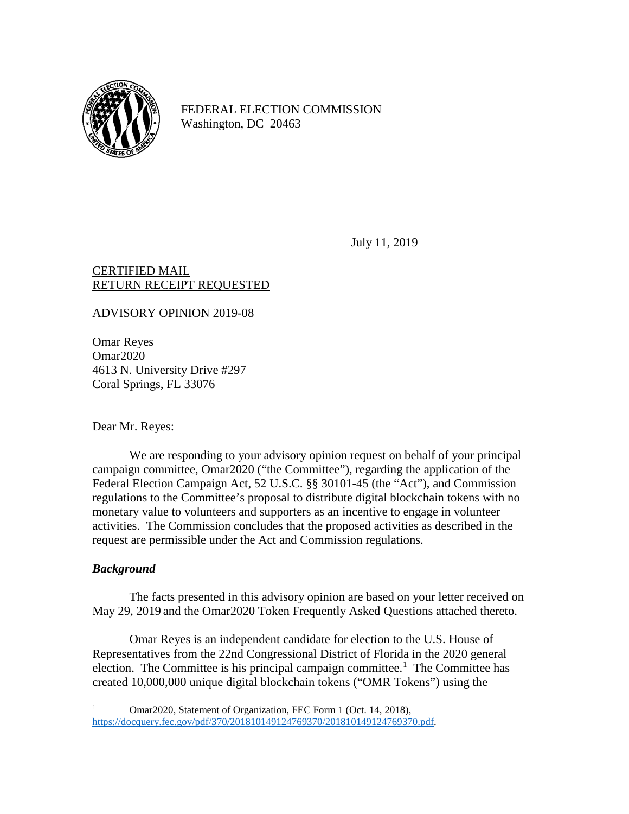

FEDERAL ELECTION COMMISSION Washington, DC 20463

July 11, 2019

#### CERTIFIED MAIL RETURN RECEIPT REQUESTED

ADVISORY OPINION 2019-08

Omar Reyes Omar2020 4613 N. University Drive #297 Coral Springs, FL 33076

Dear Mr. Reyes:

We are responding to your advisory opinion request on behalf of your principal campaign committee, Omar2020 ("the Committee"), regarding the application of the Federal Election Campaign Act, 52 U.S.C. §§ 30101-45 (the "Act"), and Commission regulations to the Committee's proposal to distribute digital blockchain tokens with no monetary value to volunteers and supporters as an incentive to engage in volunteer activities. The Commission concludes that the proposed activities as described in the request are permissible under the Act and Commission regulations.

# *Background*

The facts presented in this advisory opinion are based on your letter received on May 29, 2019 and the Omar2020 Token Frequently Asked Questions attached thereto.

Omar Reyes is an independent candidate for election to the U.S. House of Representatives from the 22nd Congressional District of Florida in the 2020 general election. The Committee is his principal campaign committee.<sup>[1](#page-0-0)</sup> The Committee has created 10,000,000 unique digital blockchain tokens ("OMR Tokens") using the

<span id="page-0-0"></span> <sup>1</sup> Omar2020, Statement of Organization, FEC Form 1 (Oct. 14, 2018), [https://docquery.fec.gov/pdf/370/201810149124769370/201810149124769370.pdf.](https://docquery.fec.gov/pdf/370/201810149124769370/201810149124769370.pdf)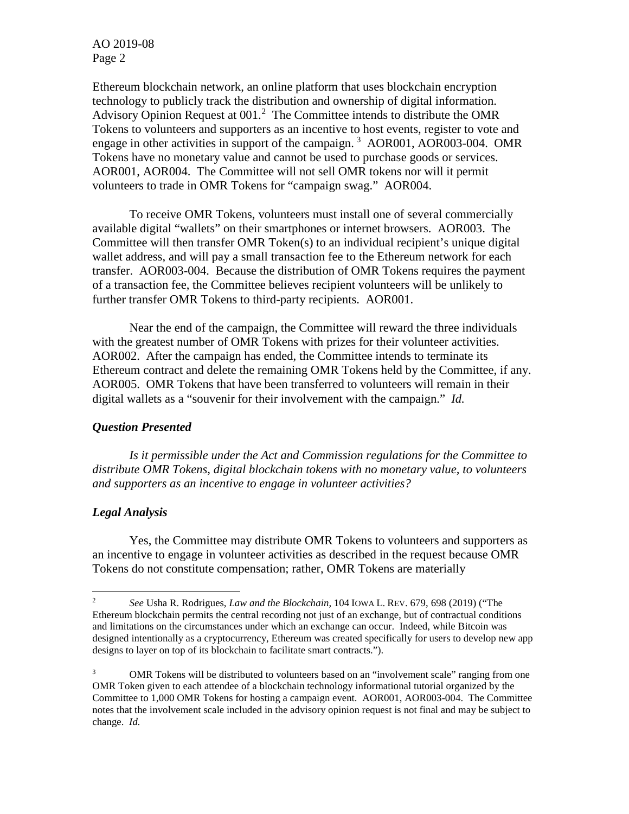AO 2019-08 Page 2

Ethereum blockchain network, an online platform that uses blockchain encryption technology to publicly track the distribution and ownership of digital information. Advisory Opinion Request at  $001<sup>2</sup>$  $001<sup>2</sup>$  $001<sup>2</sup>$  The Committee intends to distribute the OMR Tokens to volunteers and supporters as an incentive to host events, register to vote and engage in other activities in support of the campaign.<sup>[3](#page-1-1)</sup> AOR001, AOR003-004. OMR Tokens have no monetary value and cannot be used to purchase goods or services. AOR001, AOR004. The Committee will not sell OMR tokens nor will it permit volunteers to trade in OMR Tokens for "campaign swag." AOR004.

To receive OMR Tokens, volunteers must install one of several commercially available digital "wallets" on their smartphones or internet browsers. AOR003. The Committee will then transfer OMR Token(s) to an individual recipient's unique digital wallet address, and will pay a small transaction fee to the Ethereum network for each transfer. AOR003-004. Because the distribution of OMR Tokens requires the payment of a transaction fee, the Committee believes recipient volunteers will be unlikely to further transfer OMR Tokens to third-party recipients. AOR001.

Near the end of the campaign, the Committee will reward the three individuals with the greatest number of OMR Tokens with prizes for their volunteer activities. AOR002. After the campaign has ended, the Committee intends to terminate its Ethereum contract and delete the remaining OMR Tokens held by the Committee, if any. AOR005. OMR Tokens that have been transferred to volunteers will remain in their digital wallets as a "souvenir for their involvement with the campaign." *Id.* 

## *Question Presented*

*Is it permissible under the Act and Commission regulations for the Committee to distribute OMR Tokens, digital blockchain tokens with no monetary value, to volunteers and supporters as an incentive to engage in volunteer activities?*

## *Legal Analysis*

Yes, the Committee may distribute OMR Tokens to volunteers and supporters as an incentive to engage in volunteer activities as described in the request because OMR Tokens do not constitute compensation; rather, OMR Tokens are materially

<span id="page-1-0"></span> <sup>2</sup> *See* Usha R. Rodrigues, *Law and the Blockchain*, 104 IOWA L. REV. 679, 698 (2019) ("The Ethereum blockchain permits the central recording not just of an exchange, but of contractual conditions and limitations on the circumstances under which an exchange can occur. Indeed, while Bitcoin was designed intentionally as a cryptocurrency, Ethereum was created specifically for users to develop new app designs to layer on top of its blockchain to facilitate smart contracts.").

<span id="page-1-1"></span><sup>&</sup>lt;sup>3</sup> OMR Tokens will be distributed to volunteers based on an "involvement scale" ranging from one OMR Token given to each attendee of a blockchain technology informational tutorial organized by the Committee to 1,000 OMR Tokens for hosting a campaign event. AOR001, AOR003-004. The Committee notes that the involvement scale included in the advisory opinion request is not final and may be subject to change. *Id.*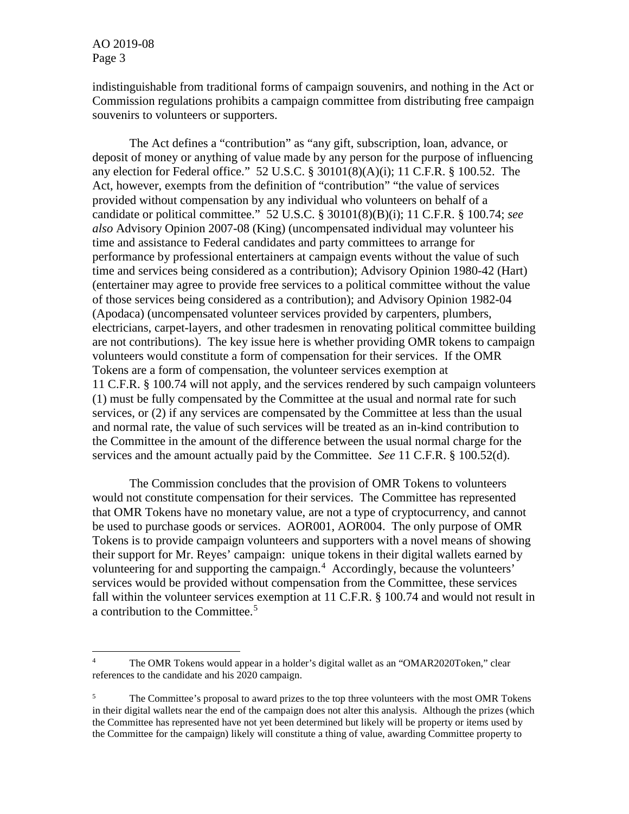AO 2019-08 Page 3

indistinguishable from traditional forms of campaign souvenirs, and nothing in the Act or Commission regulations prohibits a campaign committee from distributing free campaign souvenirs to volunteers or supporters.

The Act defines a "contribution" as "any gift, subscription, loan, advance, or deposit of money or anything of value made by any person for the purpose of influencing any election for Federal office." 52 U.S.C. § 30101(8)(A)(i); 11 C.F.R. § 100.52. The Act, however, exempts from the definition of "contribution" "the value of services provided without compensation by any individual who volunteers on behalf of a candidate or political committee." 52 U.S.C. § 30101(8)(B)(i); 11 C.F.R. § 100.74; *see also* Advisory Opinion 2007-08 (King) (uncompensated individual may volunteer his time and assistance to Federal candidates and party committees to arrange for performance by professional entertainers at campaign events without the value of such time and services being considered as a contribution); Advisory Opinion 1980-42 (Hart) (entertainer may agree to provide free services to a political committee without the value of those services being considered as a contribution); and Advisory Opinion 1982-04 (Apodaca) (uncompensated volunteer services provided by carpenters, plumbers, electricians, carpet-layers, and other tradesmen in renovating political committee building are not contributions). The key issue here is whether providing OMR tokens to campaign volunteers would constitute a form of compensation for their services. If the OMR Tokens are a form of compensation, the volunteer services exemption at 11 C.F.R. § 100.74 will not apply, and the services rendered by such campaign volunteers (1) must be fully compensated by the Committee at the usual and normal rate for such services, or (2) if any services are compensated by the Committee at less than the usual and normal rate, the value of such services will be treated as an in-kind contribution to the Committee in the amount of the difference between the usual normal charge for the services and the amount actually paid by the Committee. *See* 11 C.F.R. § 100.52(d).

The Commission concludes that the provision of OMR Tokens to volunteers would not constitute compensation for their services. The Committee has represented that OMR Tokens have no monetary value, are not a type of cryptocurrency, and cannot be used to purchase goods or services. AOR001, AOR004. The only purpose of OMR Tokens is to provide campaign volunteers and supporters with a novel means of showing their support for Mr. Reyes' campaign: unique tokens in their digital wallets earned by volunteering for and supporting the campaign. [4](#page-2-0) Accordingly, because the volunteers' services would be provided without compensation from the Committee, these services fall within the volunteer services exemption at 11 C.F.R. § 100.74 and would not result in a contribution to the Committee.<sup>[5](#page-2-1)</sup>

<span id="page-2-0"></span><sup>&</sup>lt;sup>4</sup> The OMR Tokens would appear in a holder's digital wallet as an "OMAR2020Token," clear references to the candidate and his 2020 campaign.

<span id="page-2-1"></span><sup>&</sup>lt;sup>5</sup> The Committee's proposal to award prizes to the top three volunteers with the most OMR Tokens in their digital wallets near the end of the campaign does not alter this analysis. Although the prizes (which the Committee has represented have not yet been determined but likely will be property or items used by the Committee for the campaign) likely will constitute a thing of value, awarding Committee property to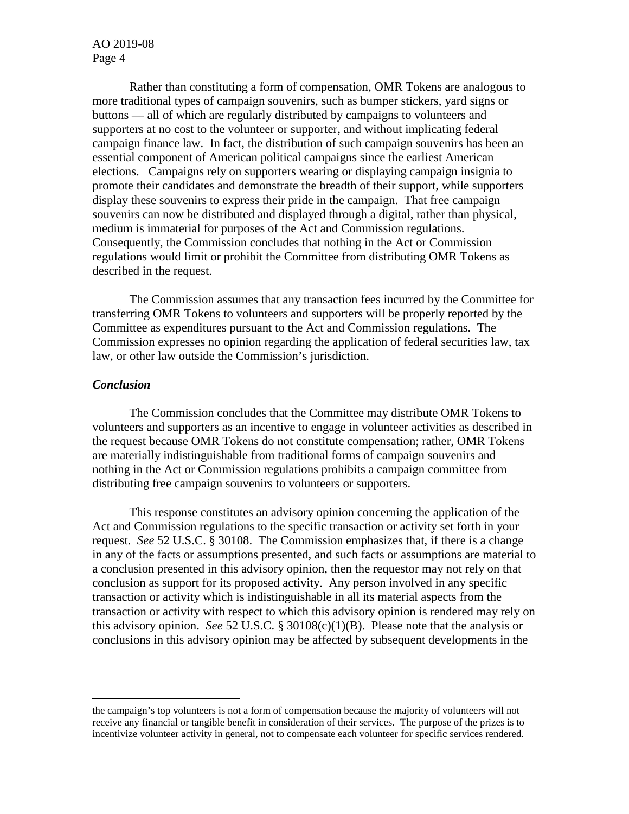AO 2019-08 Page 4

Rather than constituting a form of compensation, OMR Tokens are analogous to more traditional types of campaign souvenirs, such as bumper stickers, yard signs or buttons — all of which are regularly distributed by campaigns to volunteers and supporters at no cost to the volunteer or supporter, and without implicating federal campaign finance law. In fact, the distribution of such campaign souvenirs has been an essential component of American political campaigns since the earliest American elections. Campaigns rely on supporters wearing or displaying campaign insignia to promote their candidates and demonstrate the breadth of their support, while supporters display these souvenirs to express their pride in the campaign. That free campaign souvenirs can now be distributed and displayed through a digital, rather than physical, medium is immaterial for purposes of the Act and Commission regulations. Consequently, the Commission concludes that nothing in the Act or Commission regulations would limit or prohibit the Committee from distributing OMR Tokens as described in the request.

The Commission assumes that any transaction fees incurred by the Committee for transferring OMR Tokens to volunteers and supporters will be properly reported by the Committee as expenditures pursuant to the Act and Commission regulations. The Commission expresses no opinion regarding the application of federal securities law, tax law, or other law outside the Commission's jurisdiction.

#### *Conclusion*

The Commission concludes that the Committee may distribute OMR Tokens to volunteers and supporters as an incentive to engage in volunteer activities as described in the request because OMR Tokens do not constitute compensation; rather, OMR Tokens are materially indistinguishable from traditional forms of campaign souvenirs and nothing in the Act or Commission regulations prohibits a campaign committee from distributing free campaign souvenirs to volunteers or supporters.

This response constitutes an advisory opinion concerning the application of the Act and Commission regulations to the specific transaction or activity set forth in your request. *See* 52 U.S.C. § 30108. The Commission emphasizes that, if there is a change in any of the facts or assumptions presented, and such facts or assumptions are material to a conclusion presented in this advisory opinion, then the requestor may not rely on that conclusion as support for its proposed activity. Any person involved in any specific transaction or activity which is indistinguishable in all its material aspects from the transaction or activity with respect to which this advisory opinion is rendered may rely on this advisory opinion. *See* 52 U.S.C. § 30108(c)(1)(B). Please note that the analysis or conclusions in this advisory opinion may be affected by subsequent developments in the

the campaign's top volunteers is not a form of compensation because the majority of volunteers will not receive any financial or tangible benefit in consideration of their services. The purpose of the prizes is to incentivize volunteer activity in general, not to compensate each volunteer for specific services rendered.